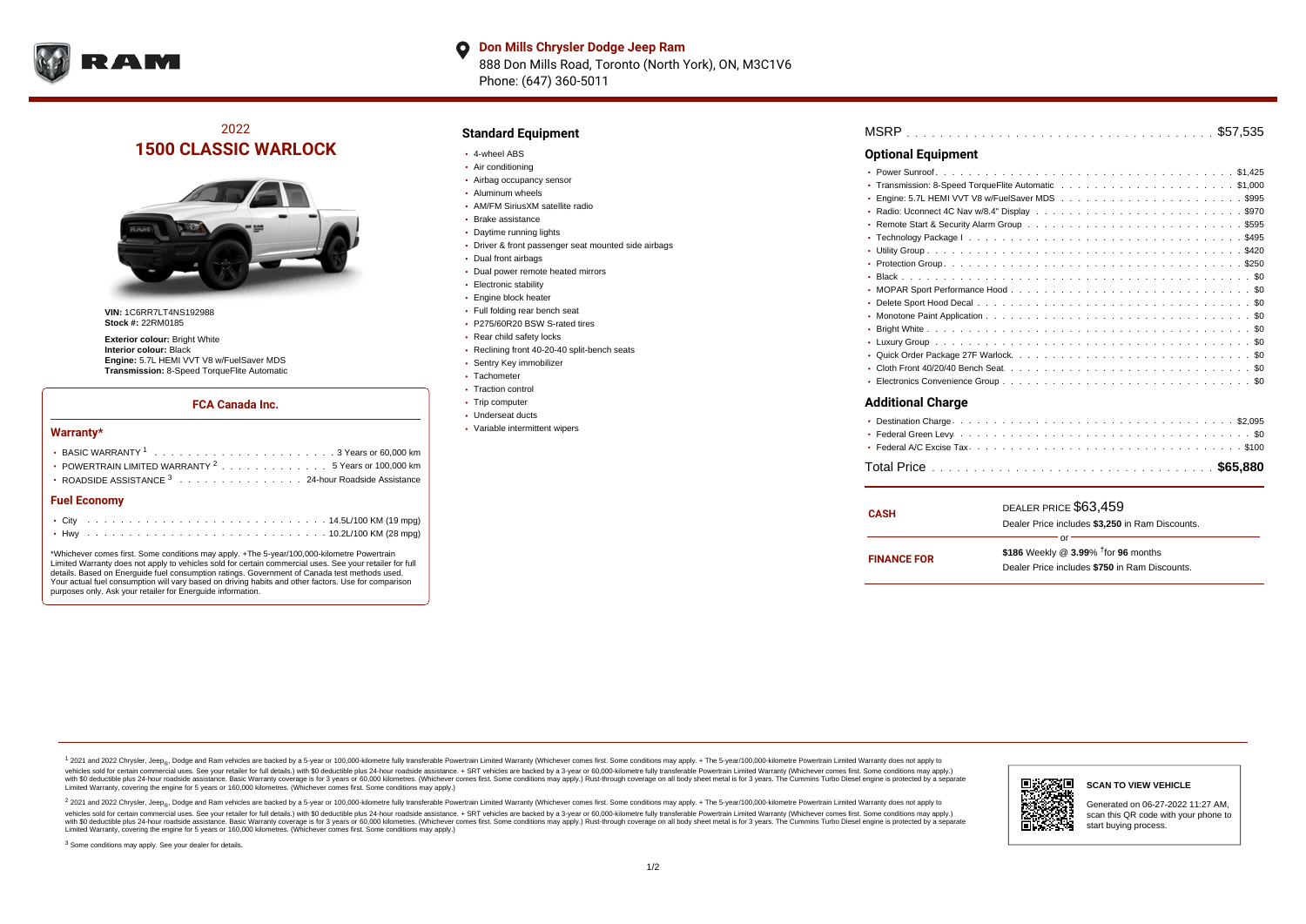

### **Don Mills Chrysler Dodge Jeep Ram**  $\bullet$ 888 Don Mills Road, Toronto (North York), ON, M3C1V6 Phone: (647) 360-5011

# 2022 **1500 CLASSIC WARLOCK**



**VIN:** 1C6RR7LT4NS192988 **Stock #:** 22RM0185

**Exterior colour:** Bright White **Interior colour:** Black **Engine:** 5.7L HEMI VVT V8 w/FuelSaver MDS **Transmission:** 8-Speed TorqueFlite Automatic

### **FCA Canada Inc.**

#### **Warranty\***

| POWERTRAIN LIMITED WARRANTY <sup>2</sup> 5 Years or 100,000 km |
|----------------------------------------------------------------|
| • ROADSIDE ASSISTANCE 3 24-hour Roadside Assistance            |
| <b>Fuel Economy</b>                                            |
|                                                                |

\*Whichever comes first. Some conditions may apply. +The 5-year/100,000-kilometre Powertrain Limited Warranty does not apply to vehicles sold for certain commercial uses. See your retailer for full details. Based on Energuide fuel consumption ratings. Government of Canada test methods used. Your actual fuel consumption will vary based on driving habits and other factors. Use for comparison purposes only. Ask your retailer for Energuide information.

. . . . . . . . . . . . . . . . . . . . . . . . . . . . . . . . . . . . . . . . . . . Hwy 10.2L/100 KM (28 mpg)

## **Standard Equipment**

- 4-wheel ABS
- Air conditioning
- Airbag occupancy sensor
- Aluminum wheels
- AM/FM SiriusXM satellite radio
- Brake assistance
- Daytime running lights
- Driver & front passenger seat mounted side airbags
- Dual front airbags
- Dual power remote heated mirrors
- **Electronic stability**
- Engine block heater
- Full folding rear bench seat
- P275/60R20 BSW S-rated tires
- Rear child safety locks
- Reclining front 40-20-40 split-bench seats
- Sentry Key immobilizer
- Tachometer
- Traction control • Trip computer
- Underseat ducts
- Variable intermittent wipers

| <b>Optional Equipment</b> |
|---------------------------|
|                           |
|                           |
| ٠                         |
|                           |
|                           |
|                           |
|                           |
|                           |
|                           |
|                           |
|                           |
|                           |
|                           |
|                           |
|                           |
|                           |
|                           |
| <b>Additional Charge</b>  |
|                           |
|                           |
|                           |

| <b>CASH</b>        | DEALER PRICE \$63,459<br>Dealer Price includes \$3,250 in Ram Discounts.                                  |
|--------------------|-----------------------------------------------------------------------------------------------------------|
| <b>FINANCE FOR</b> | nr<br>\$186 Weekly @ $3.99\%$ <sup>†</sup> for 96 months<br>Dealer Price includes \$750 in Ram Discounts. |

. . . . . . . . . . . . . . . . . . . . . . . . . . . . . . . . . . . . . . . . . . . . . . Total Price **\$65,880**

<sup>1</sup> 2021 and 2022 Chrysler, Jeep<sub>®</sub>, Dodge and Ram vehicles are backed by a 5-year or 100,000-kilometre fully transferable Powertrain Limited Warranty (Whichever comes first. Some conditions may apply. + The 5-year/100,000 vehicles sold for certain commercial uses. See your retailer for full details.) with \$0 deductible plus 24-hour roadside assistance. + SRT vehicles are backed by a 3-year or 60,000-kilometre fully transferable Powertrain L versus and contract the mean of the contract of the contract with a contract with a contract the contract of the contract of the contract the contract of the contract of the contract of the contract of the contract of the Limited Warranty, covering the engine for 5 years or 160,000 kilometres. (Whichever comes first. Some conditions may apply.)

2 2021 and 2022 Chrysler, Jeep<sub>®</sub>, Dodge and Ram vehicles are backed by a 5-year or 100,000-kilometre fully transferable Powertrain Limited Warranty (Whichever comes first. Some conditions may apply. + The 5-year/100,000-k vehicles sold for certain commercial uses. See your retailer for full details.) with SO deductible plus 24-hour roadside assistance. + SRT vehicles are backed by a 3-year or 60.000-kilometre fully transferable Powertrain. with S0 deductible plus 24-hour roadside assistance. Basic Warranty coverage is for 3 years or 60,000 kilometres. (Whichever comes first. Some conditions may apply.) Rust-through coverage on all body sheet metal is for 3 y



#### **SCAN TO VIEW VEHICLE**

Generated on 06-27-2022 11:27 AM, scan this QR code with your phone to start buying process.

<sup>3</sup> Some conditions may apply. See your dealer for details.